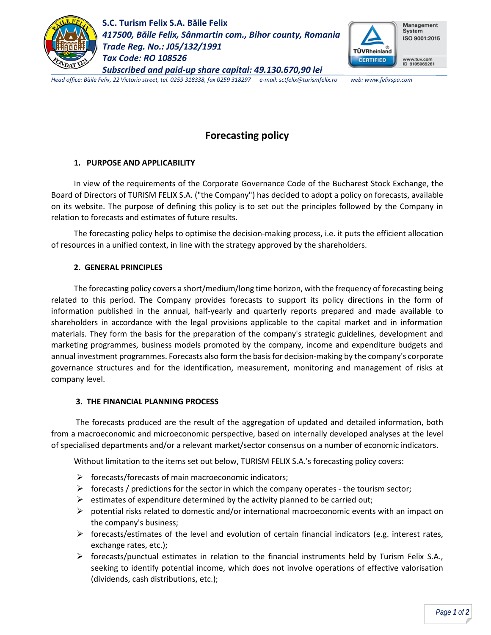

**S.C. Turism Felix S.A. Băile Felix** *417500, Băile Felix, Sânmartin com., Bihor county, Romania Trade Reg. No.: J05/132/1991 Tax Code: RO 108526 Subscribed and paid-up share capital: 49.130.670,90 lei*



*Head office: Băile Felix, 22 Victoria street, tel. 0259 318338, fax 0259 318297 e-mail: sctfelix@turismfelix.ro web: www.felixspa.com*

# **Forecasting policy**

## **1. PURPOSE AND APPLICABILITY**

In view of the requirements of the Corporate Governance Code of the Bucharest Stock Exchange, the Board of Directors of TURISM FELIX S.A. ("the Company") has decided to adopt a policy on forecasts, available on its website. The purpose of defining this policy is to set out the principles followed by the Company in relation to forecasts and estimates of future results.

The forecasting policy helps to optimise the decision-making process, i.e. it puts the efficient allocation of resources in a unified context, in line with the strategy approved by the shareholders.

## **2. GENERAL PRINCIPLES**

The forecasting policy covers a short/medium/long time horizon, with the frequency of forecasting being related to this period. The Company provides forecasts to support its policy directions in the form of information published in the annual, half-yearly and quarterly reports prepared and made available to shareholders in accordance with the legal provisions applicable to the capital market and in information materials. They form the basis for the preparation of the company's strategic guidelines, development and marketing programmes, business models promoted by the company, income and expenditure budgets and annual investment programmes. Forecasts also form the basis for decision-making by the company's corporate governance structures and for the identification, measurement, monitoring and management of risks at company level.

## **3. THE FINANCIAL PLANNING PROCESS**

The forecasts produced are the result of the aggregation of updated and detailed information, both from a macroeconomic and microeconomic perspective, based on internally developed analyses at the level of specialised departments and/or a relevant market/sector consensus on a number of economic indicators.

Without limitation to the items set out below, TURISM FELIX S.A.'s forecasting policy covers:

- $\triangleright$  forecasts/forecasts of main macroeconomic indicators;
- $\triangleright$  forecasts / predictions for the sector in which the company operates the tourism sector;
- $\triangleright$  estimates of expenditure determined by the activity planned to be carried out;
- $\triangleright$  potential risks related to domestic and/or international macroeconomic events with an impact on the company's business;
- $\triangleright$  forecasts/estimates of the level and evolution of certain financial indicators (e.g. interest rates, exchange rates, etc.);
- $\triangleright$  forecasts/punctual estimates in relation to the financial instruments held by Turism Felix S.A., seeking to identify potential income, which does not involve operations of effective valorisation (dividends, cash distributions, etc.);